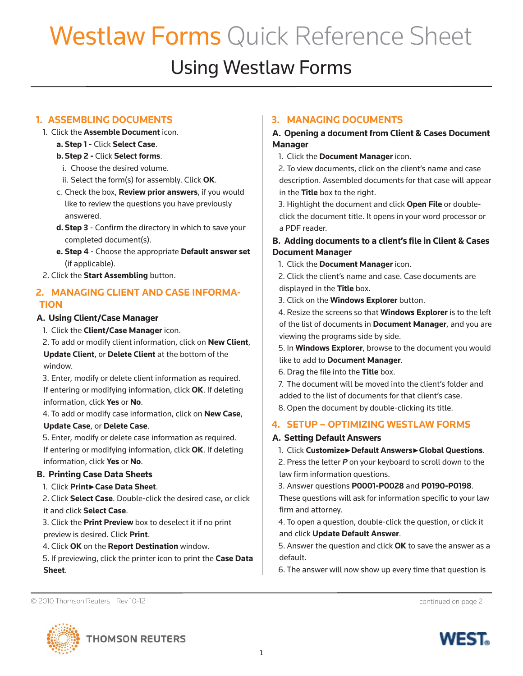# Westlaw Forms Quick Reference Sheet

# Using Westlaw Forms

# **1. ASSEMBLING DOCUMENTS**

- 1. Click the **Assemble Document** icon.
	- **a. Step 1** Click **Select Case**.

#### **b. Step 2 -** Click **Select forms**.

- i. Choose the desired volume.
- ii. Select the form(s) for assembly. Click **OK**.
- c. Check the box, **Review prior answers**, if you would like to review the questions you have previously answered.
- **d. Step 3** Confirm the directory in which to save your completed document(s).
- **e. Step 4** Choose the appropriate **Default answer set** (if applicable).
- 2. Click the **Start Assembling** button.

# **2. MANAGING CLIENT AND CASE INFORMA-TION**

#### **A. Using Client/Case Manager**

1. Click the **Client/Case Manager** icon.

2. To add or modify client information, click on **New Client**, **Update Client**, or **Delete Client** at the bottom of the window.

3. Enter, modify or delete client information as required. If entering or modifying information, click **OK**. If deleting information, click **Yes** or **No**.

4. To add or modify case information, click on **New Case**, **Update Case**, or **Delete Case**.

5. Enter, modify or delete case information as required. If entering or modifying information, click **OK**. If deleting information, click **Yes** or **No**.

# **B. Printing Case Data Sheets**

1. Click **Print►Case Data Sheet**.

2. Click **Select Case**. Double-click the desired case, or click it and click **Select Case**.

3. Click the **Print Preview** box to deselect it if no print preview is desired. Click **Print**.

4. Click **OK** on the **Report Destination** window.

5. If previewing, click the printer icon to print the **Case Data Sheet**.

# **3. MANAGING DOCUMENTS**

#### **A. Opening a document from Client & Cases Document Manager**

1. Click the **Document Manager** icon.

2. To view documents, click on the client's name and case description. Assembled documents for that case will appear in the **Title** box to the right.

3. Highlight the document and click **Open File** or doubleclick the document title. It opens in your word processor or a PDF reader.

#### **B. Adding documents to a client's file in Client & Cases Document Manager**

- 1. Click the **Document Manager** icon.
- 2. Click the client's name and case. Case documents are displayed in the **Title** box.
- 3. Click on the **Windows Explorer** button.

4. Resize the screens so that **Windows Explorer** is to the left of the list of documents in **Document Manager**, and you are viewing the programs side by side.

5. In **Windows Explorer**, browse to the document you would like to add to **Document Manager**.

6. Drag the file into the Title box.

7. The document will be moved into the client's folder and added to the list of documents for that client's case.

8. Open the document by double-clicking its title.

# **4. SETUP – OPTIMIZING WESTLAW FORMS**

#### **A. Setting Default Answers**

1. Click **Customize►Default Answers►Global Questions**.

2. Press the letter *P* on your keyboard to scroll down to the law firm information questions.

3. Answer questions **P0001-P0028** and **P0190-P0198**.

These questions will ask for information specific to your law firm and attorney.

4. To open a question, double-click the question, or click it and click **Update Default Answer**.

5. Answer the question and click **OK** to save the answer as a default.

6. The answer will now show up every time that question is

© 2010 Thomson Reuters Rev 10-12 continued on page 2



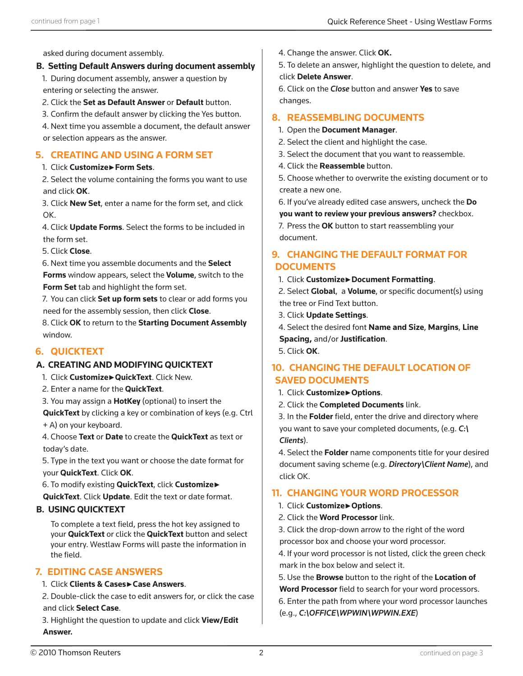asked during document assembly.

#### **B. Setting Default Answers during document assembly**

1. During document assembly, answer a question by entering or selecting the answer.

2. Click the **Set as Default Answer** or **Default** button.

3. Confirm the default answer by clicking the Yes button.

4. Next time you assemble a document, the default answer or selection appears as the answer.

### **5. CREATING AND USING A FORM SET**

#### 1. Click **Customize►Form Sets**.

2. Select the volume containing the forms you want to use and click **OK**.

3. Click **New Set**, enter a name for the form set, and click OK.

4. Click **Update Forms**. Select the forms to be included in the form set.

5. Click **Close**.

6. Next time you assemble documents and the **Select** 

**Forms** window appears, select the **Volume**, switch to the **Form Set** tab and highlight the form set.

7. You can click **Set up form sets** to clear or add forms you need for the assembly session, then click **Close**.

8. Click **OK** to return to the **Starting Document Assembly**  window.

# **6. QUICKTEXT**

#### **A. CREATING AND MODIFYING QUICKTEXT**

- 1. Click **Customize►QuickText**. Click New.
- 2. Enter a name for the **QuickText**.
- 3. You may assign a **HotKey** (optional) to insert the

**QuickText** by clicking a key or combination of keys (e.g. Ctrl + A) on your keyboard.

4. Choose **Text** or **Date** to create the **QuickText** as text or today's date.

5. Type in the text you want or choose the date format for your **QuickText**. Click **OK**.

6. To modify existing **QuickText**, click **Customize► QuickText**. Click **Update**. Edit the text or date format.

#### **B. USING QUICKTEXT**

To complete a text field, press the hot key assigned to your **QuickText** or click the **QuickText** button and select your entry. Westlaw Forms will paste the information in the field.

#### **7. EDITING CASE ANSWERS**

#### 1. Click **Clients & Cases►Case Answers**.

2. Double-click the case to edit answers for, or click the case and click **Select Case**.

3. Highlight the question to update and click **View/Edit Answer.**

5. To delete an answer, highlight the question to delete, and click **Delete Answer**.

6. Click on the *Close* button and answer **Yes** to save changes.

# **8. REASSEMBLING DOCUMENTS**

#### 1. Open the **Document Manager**.

- 2. Select the client and highlight the case.
- 3. Select the document that you want to reassemble.
- 4. Click the **Reassemble** button.

5. Choose whether to overwrite the existing document or to create a new one.

6. If you've already edited case answers, uncheck the **Do** 

**you want to review your previous answers?** checkbox.

7. Press the **OK** button to start reassembling your document.

#### **9. CHANGING THE DEFAULT FORMAT FOR DOCUMENTS**

1. Click **Customize►Document Formatting**.

2. Select **Global**, a **Volume**, or specific document(s) using the tree or Find Text button.

- 3. Click **Update Settings**.
- 4. Select the desired font **Name and Size**, **Margins**, **Line Spacing, and/or Justification.**

5. Click **OK**.

# **10. CHANGING THE DEFAULT LOCATION OF SAVED DOCUMENTS**

- 1. Click **Customize►Options**.
- 2. Click the **Completed Documents** link.

3. In the Folder field, enter the drive and directory where you want to save your completed documents, (e.g. *C:\ Clients*).

4. Select the **Folder** name components title for your desired document saving scheme (e.g. *Directory\Client Name*), and click OK.

#### **11. CHANGING YOUR WORD PROCESSOR**

- 1. Click **Customize►Options**.
- 2. Click the **Word Processor** link.
- 3. Click the drop-down arrow to the right of the word processor box and choose your word processor.

4. If your word processor is not listed, click the green check mark in the box below and select it.

5. Use the **Browse** button to the right of the **Location of** 

**Word Processor** field to search for your word processors. 6. Enter the path from where your word processor launches (e.g., *C:\OFFICE\WPWIN\WPWIN.EXE*)